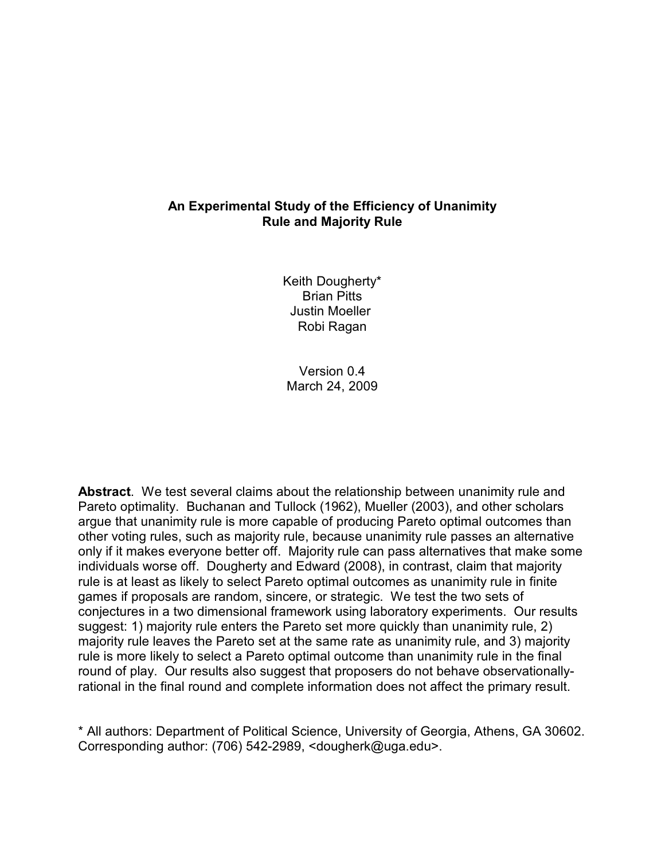# **An Experimental Study of the Efficiency of Unanimity Rule and Majority Rule**

Keith Dougherty\* Brian Pitts Justin Moeller Robi Ragan

Version 0.4 March 24, 2009

**Abstract**. We test several claims about the relationship between unanimity rule and Pareto optimality. Buchanan and Tullock (1962), Mueller (2003), and other scholars argue that unanimity rule is more capable of producing Pareto optimal outcomes than other voting rules, such as majority rule, because unanimity rule passes an alternative only if it makes everyone better off. Majority rule can pass alternatives that make some individuals worse off. Dougherty and Edward (2008), in contrast, claim that majority rule is at least as likely to select Pareto optimal outcomes as unanimity rule in finite games if proposals are random, sincere, or strategic. We test the two sets of conjectures in a two dimensional framework using laboratory experiments. Our results suggest: 1) majority rule enters the Pareto set more quickly than unanimity rule, 2) majority rule leaves the Pareto set at the same rate as unanimity rule, and 3) majority rule is more likely to select a Pareto optimal outcome than unanimity rule in the final round of play. Our results also suggest that proposers do not behave observationallyrational in the final round and complete information does not affect the primary result.

\* All authors: Department of Political Science, University of Georgia, Athens, GA 30602. Corresponding author: (706) 542-2989, <dougherk@uga.edu>.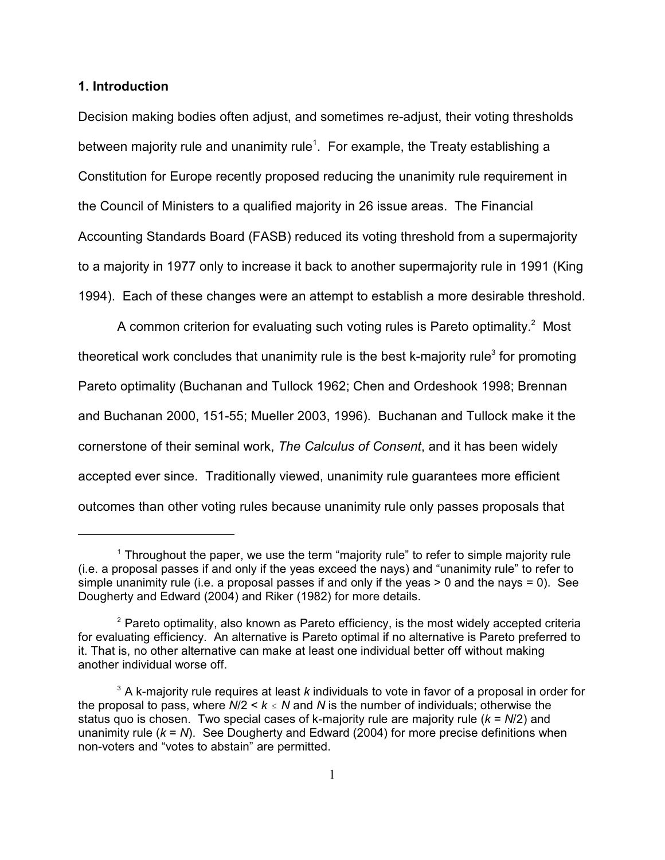## **1. Introduction**

Decision making bodies often adjust, and sometimes re-adjust, their voting thresholds between majority rule and unanimity rule<sup>1</sup>. For example, the Treaty establishing a Constitution for Europe recently proposed reducing the unanimity rule requirement in the Council of Ministers to a qualified majority in 26 issue areas. The Financial Accounting Standards Board (FASB) reduced its voting threshold from a supermajority to a majority in 1977 only to increase it back to another supermajority rule in 1991 (King 1994). Each of these changes were an attempt to establish a more desirable threshold.

A common criterion for evaluating such voting rules is Pareto optimality.<sup>2</sup> Most theoretical work concludes that unanimity rule is the best k-majority rule<sup>3</sup> for promoting Pareto optimality (Buchanan and Tullock 1962; Chen and Ordeshook 1998; Brennan and Buchanan 2000, 151-55; Mueller 2003, 1996). Buchanan and Tullock make it the cornerstone of their seminal work, *The Calculus of Consent*, and it has been widely accepted ever since. Traditionally viewed, unanimity rule guarantees more efficient outcomes than other voting rules because unanimity rule only passes proposals that

<sup>&</sup>lt;sup>1</sup> Throughout the paper, we use the term "majority rule" to refer to simple majority rule (i.e. a proposal passes if and only if the yeas exceed the nays) and "unanimity rule" to refer to simple unanimity rule (i.e. a proposal passes if and only if the yeas  $> 0$  and the nays = 0). See Dougherty and Edward (2004) and Riker (1982) for more details.

 $P^2$  Pareto optimality, also known as Pareto efficiency, is the most widely accepted criteria for evaluating efficiency. An alternative is Pareto optimal if no alternative is Pareto preferred to it. That is, no other alternative can make at least one individual better off without making another individual worse off.

<sup>&</sup>lt;sup>3</sup> A k-majority rule requires at least *k* individuals to vote in favor of a proposal in order for the proposal to pass, where  $N/2 < k \le N$  and N is the number of individuals; otherwise the status quo is chosen. Two special cases of k-majority rule are majority rule (*k* = *N*/2) and unanimity rule (*k* = *N*). See Dougherty and Edward (2004) for more precise definitions when non-voters and "votes to abstain" are permitted.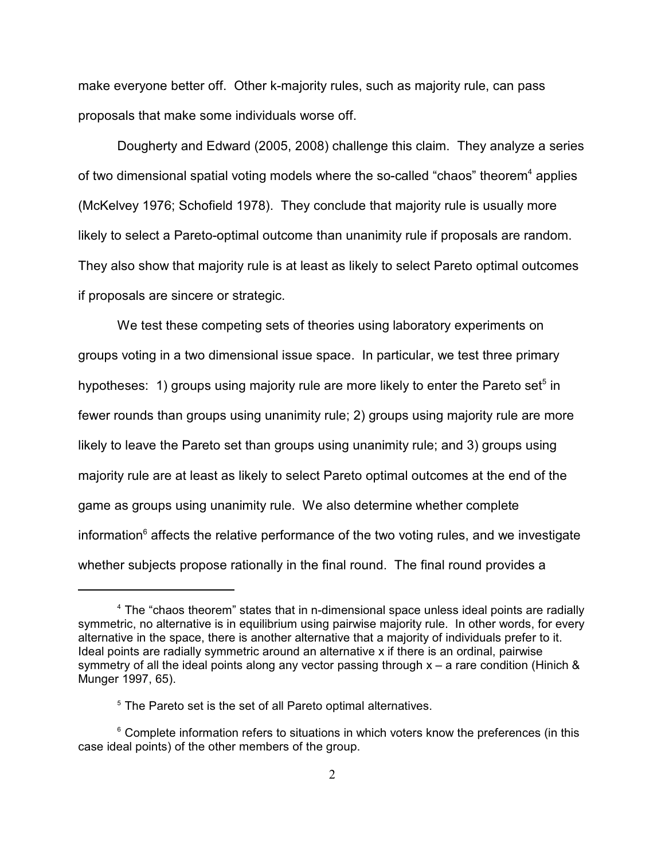make everyone better off. Other k-majority rules, such as majority rule, can pass proposals that make some individuals worse off.

Dougherty and Edward (2005, 2008) challenge this claim. They analyze a series of two dimensional spatial voting models where the so-called "chaos" theorem<sup>4</sup> applies (McKelvey 1976; Schofield 1978). They conclude that majority rule is usually more likely to select a Pareto-optimal outcome than unanimity rule if proposals are random. They also show that majority rule is at least as likely to select Pareto optimal outcomes if proposals are sincere or strategic.

We test these competing sets of theories using laboratory experiments on groups voting in a two dimensional issue space. In particular, we test three primary hypotheses: 1) groups using majority rule are more likely to enter the Pareto set<sup>5</sup> in fewer rounds than groups using unanimity rule; 2) groups using majority rule are more likely to leave the Pareto set than groups using unanimity rule; and 3) groups using majority rule are at least as likely to select Pareto optimal outcomes at the end of the game as groups using unanimity rule. We also determine whether complete information<sup> $6$ </sup> affects the relative performance of the two voting rules, and we investigate whether subjects propose rationally in the final round. The final round provides a

<sup>&</sup>lt;sup>4</sup> The "chaos theorem" states that in n-dimensional space unless ideal points are radially symmetric, no alternative is in equilibrium using pairwise majority rule. In other words, for every alternative in the space, there is another alternative that a majority of individuals prefer to it. Ideal points are radially symmetric around an alternative x if there is an ordinal, pairwise symmetry of all the ideal points along any vector passing through  $x - a$  rare condition (Hinich & Munger 1997, 65).

 $5$  The Pareto set is the set of all Pareto optimal alternatives.

 $6$  Complete information refers to situations in which voters know the preferences (in this case ideal points) of the other members of the group.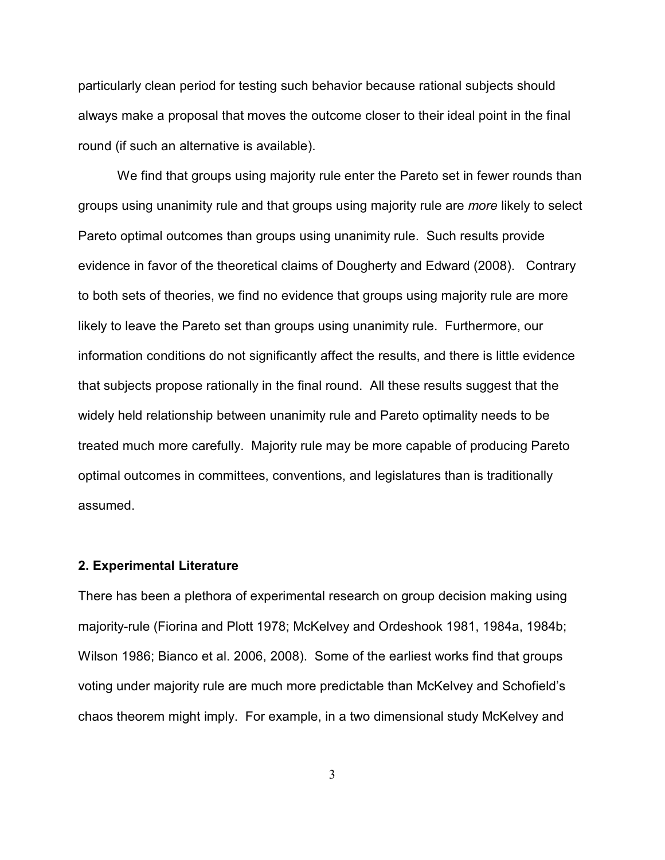particularly clean period for testing such behavior because rational subjects should always make a proposal that moves the outcome closer to their ideal point in the final round (if such an alternative is available).

We find that groups using majority rule enter the Pareto set in fewer rounds than groups using unanimity rule and that groups using majority rule are *more* likely to select Pareto optimal outcomes than groups using unanimity rule. Such results provide evidence in favor of the theoretical claims of Dougherty and Edward (2008). Contrary to both sets of theories, we find no evidence that groups using majority rule are more likely to leave the Pareto set than groups using unanimity rule. Furthermore, our information conditions do not significantly affect the results, and there is little evidence that subjects propose rationally in the final round. All these results suggest that the widely held relationship between unanimity rule and Pareto optimality needs to be treated much more carefully. Majority rule may be more capable of producing Pareto optimal outcomes in committees, conventions, and legislatures than is traditionally assumed.

#### **2. Experimental Literature**

There has been a plethora of experimental research on group decision making using majority-rule (Fiorina and Plott 1978; McKelvey and Ordeshook 1981, 1984a, 1984b; Wilson 1986; Bianco et al. 2006, 2008). Some of the earliest works find that groups voting under majority rule are much more predictable than McKelvey and Schofield's chaos theorem might imply. For example, in a two dimensional study McKelvey and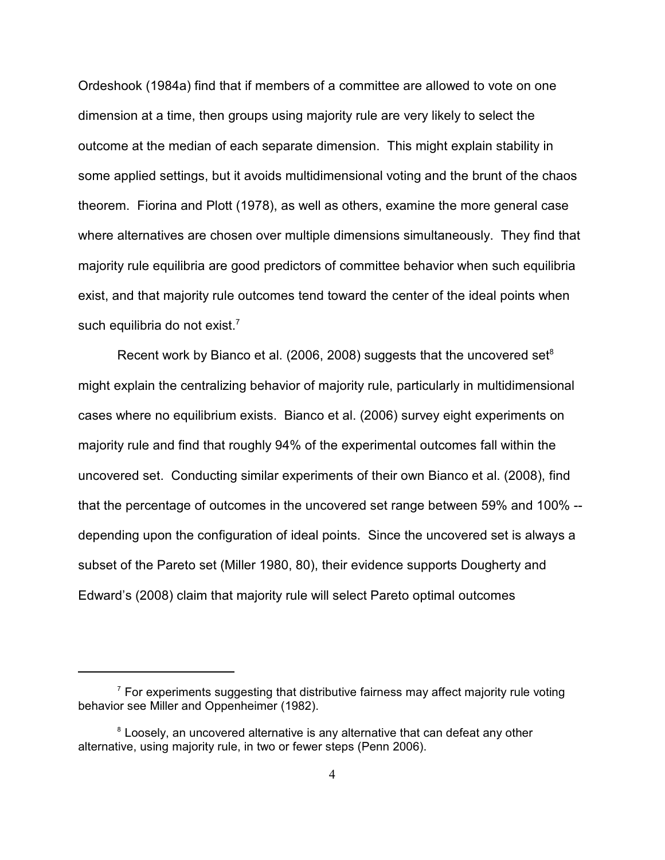Ordeshook (1984a) find that if members of a committee are allowed to vote on one dimension at a time, then groups using majority rule are very likely to select the outcome at the median of each separate dimension. This might explain stability in some applied settings, but it avoids multidimensional voting and the brunt of the chaos theorem. Fiorina and Plott (1978), as well as others, examine the more general case where alternatives are chosen over multiple dimensions simultaneously. They find that majority rule equilibria are good predictors of committee behavior when such equilibria exist, and that majority rule outcomes tend toward the center of the ideal points when such equilibria do not exist. $<sup>7</sup>$ </sup>

Recent work by Bianco et al. (2006, 2008) suggests that the uncovered set $8$ might explain the centralizing behavior of majority rule, particularly in multidimensional cases where no equilibrium exists. Bianco et al. (2006) survey eight experiments on majority rule and find that roughly 94% of the experimental outcomes fall within the uncovered set. Conducting similar experiments of their own Bianco et al. (2008), find that the percentage of outcomes in the uncovered set range between 59% and 100% - depending upon the configuration of ideal points. Since the uncovered set is always a subset of the Pareto set (Miller 1980, 80), their evidence supports Dougherty and Edward's (2008) claim that majority rule will select Pareto optimal outcomes

 $\frac{7}{7}$  For experiments suggesting that distributive fairness may affect majority rule voting behavior see Miller and Oppenheimer (1982).

<sup>&</sup>lt;sup>8</sup> Loosely, an uncovered alternative is any alternative that can defeat any other alternative, using majority rule, in two or fewer steps (Penn 2006).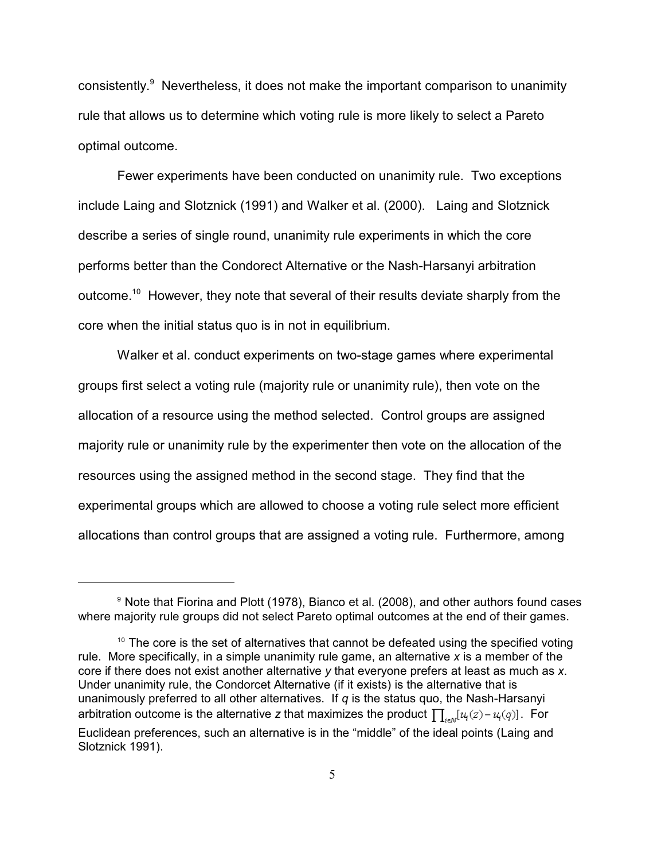consistently. $9$  Nevertheless, it does not make the important comparison to unanimity rule that allows us to determine which voting rule is more likely to select a Pareto optimal outcome.

Fewer experiments have been conducted on unanimity rule. Two exceptions include Laing and Slotznick (1991) and Walker et al. (2000). Laing and Slotznick describe a series of single round, unanimity rule experiments in which the core performs better than the Condorect Alternative or the Nash-Harsanyi arbitration outcome.<sup>10</sup> However, they note that several of their results deviate sharply from the core when the initial status quo is in not in equilibrium.

Walker et al. conduct experiments on two-stage games where experimental groups first select a voting rule (majority rule or unanimity rule), then vote on the allocation of a resource using the method selected. Control groups are assigned majority rule or unanimity rule by the experimenter then vote on the allocation of the resources using the assigned method in the second stage. They find that the experimental groups which are allowed to choose a voting rule select more efficient allocations than control groups that are assigned a voting rule. Furthermore, among

 $9$  Note that Fiorina and Plott (1978), Bianco et al. (2008), and other authors found cases where majority rule groups did not select Pareto optimal outcomes at the end of their games.

 $10$  The core is the set of alternatives that cannot be defeated using the specified voting rule. More specifically, in a simple unanimity rule game, an alternative *x* is a member of the core if there does not exist another alternative *y* that everyone prefers at least as much as *x*. Under unanimity rule, the Condorcet Alternative (if it exists) is the alternative that is unanimously preferred to all other alternatives. If *q* is the status quo, the Nash-Harsanyi arbitration outcome is the alternative *z* that maximizes the product  $\prod_{i \in N} [u_i(z) - u_i(q)]$ . For Euclidean preferences, such an alternative is in the "middle" of the ideal points (Laing and Slotznick 1991).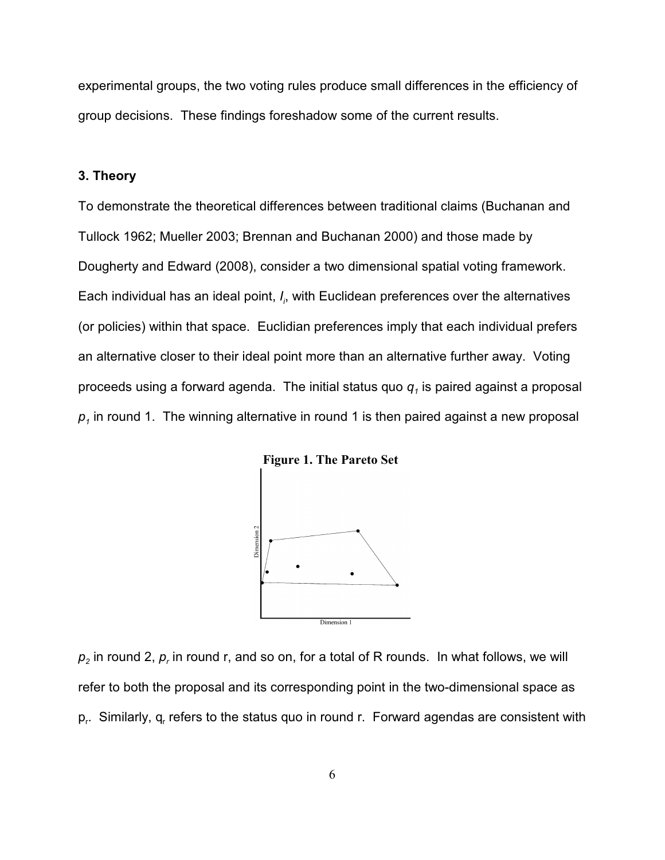experimental groups, the two voting rules produce small differences in the efficiency of group decisions. These findings foreshadow some of the current results.

## **3. Theory**

To demonstrate the theoretical differences between traditional claims (Buchanan and Tullock 1962; Mueller 2003; Brennan and Buchanan 2000) and those made by Dougherty and Edward (2008), consider a two dimensional spatial voting framework. Each *<sup>i</sup>* individual has an ideal point, *I*, with Euclidean preferences over the alternatives (or policies) within that space. Euclidian preferences imply that each individual prefers an alternative closer to their ideal point more than an alternative further away. Voting proceeds using a forward agenda. The initial status quo  $\boldsymbol{q}_j$  is paired against a proposal  $\bm{\rho}_\text{\tiny{I}}$  in round 1. The winning alternative in round 1 is then paired against a new proposal



**Figure 1. The Pareto Set** 

 $p_2$  in round 2,  $p_r$  in round r, and so on, for a total of R rounds. In what follows, we will refer to both the proposal and its corresponding point in the two-dimensional space as  $p_r$ . Similarly,  $q_r$  refers to the status quo in round r. Forward agendas are consistent with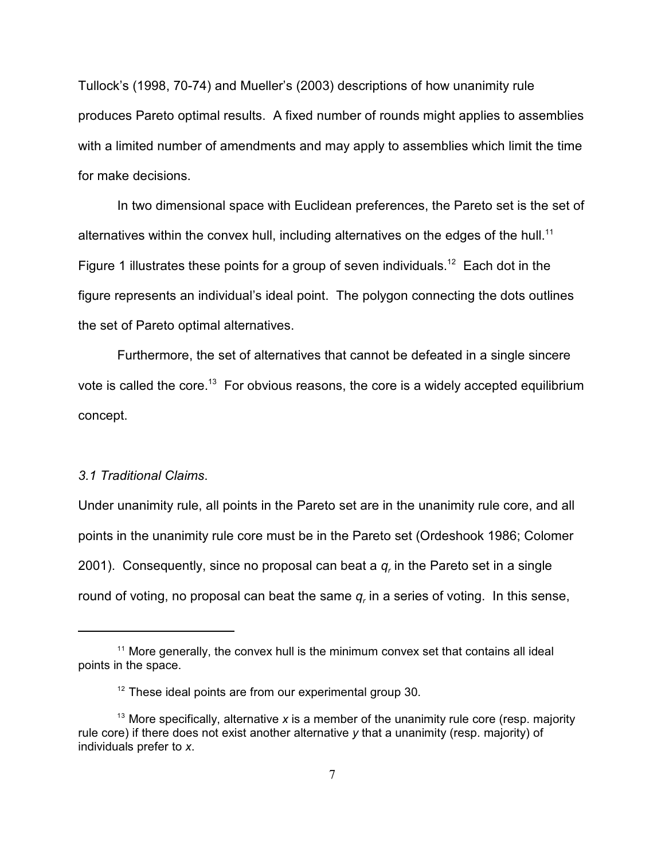Tullock's (1998, 70-74) and Mueller's (2003) descriptions of how unanimity rule produces Pareto optimal results. A fixed number of rounds might applies to assemblies with a limited number of amendments and may apply to assemblies which limit the time for make decisions.

In two dimensional space with Euclidean preferences, the Pareto set is the set of alternatives within the convex hull, including alternatives on the edges of the hull.<sup>11</sup> Figure 1 illustrates these points for a group of seven individuals.<sup>12</sup> Each dot in the figure represents an individual's ideal point. The polygon connecting the dots outlines the set of Pareto optimal alternatives.

Furthermore, the set of alternatives that cannot be defeated in a single sincere vote is called the core.<sup>13</sup> For obvious reasons, the core is a widely accepted equilibrium concept.

# *3.1 Traditional Claims*.

Under unanimity rule, all points in the Pareto set are in the unanimity rule core, and all points in the unanimity rule core must be in the Pareto set (Ordeshook 1986; Colomer 2001). Consequently, since no proposal can beat a  $q_r$  in the Pareto set in a single round of voting, no proposal can beat the same  $q_r$  in a series of voting. In this sense,

 $11$  More generally, the convex hull is the minimum convex set that contains all ideal points in the space.

 $12$  These ideal points are from our experimental group 30.

<sup>&</sup>lt;sup>13</sup> More specifically, alternative  $x$  is a member of the unanimity rule core (resp. majority rule core) if there does not exist another alternative *y* that a unanimity (resp. majority) of individuals prefer to *x*.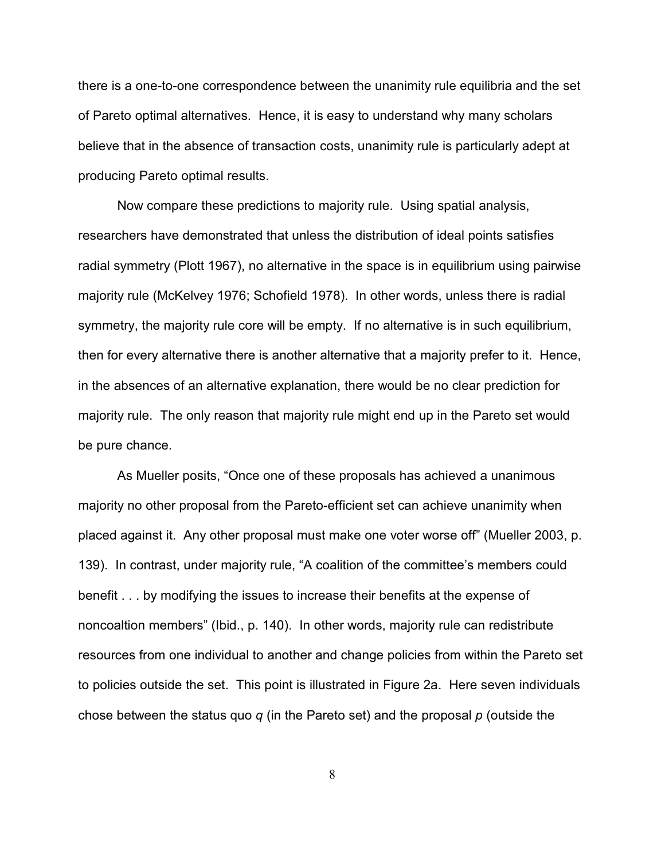there is a one-to-one correspondence between the unanimity rule equilibria and the set of Pareto optimal alternatives. Hence, it is easy to understand why many scholars believe that in the absence of transaction costs, unanimity rule is particularly adept at producing Pareto optimal results.

Now compare these predictions to majority rule. Using spatial analysis, researchers have demonstrated that unless the distribution of ideal points satisfies radial symmetry (Plott 1967), no alternative in the space is in equilibrium using pairwise majority rule (McKelvey 1976; Schofield 1978). In other words, unless there is radial symmetry, the majority rule core will be empty. If no alternative is in such equilibrium, then for every alternative there is another alternative that a majority prefer to it. Hence, in the absences of an alternative explanation, there would be no clear prediction for majority rule. The only reason that majority rule might end up in the Pareto set would be pure chance.

As Mueller posits, "Once one of these proposals has achieved a unanimous majority no other proposal from the Pareto-efficient set can achieve unanimity when placed against it. Any other proposal must make one voter worse off" (Mueller 2003, p. 139). In contrast, under majority rule, "A coalition of the committee's members could benefit . . . by modifying the issues to increase their benefits at the expense of noncoaltion members" (Ibid., p. 140). In other words, majority rule can redistribute resources from one individual to another and change policies from within the Pareto set to policies outside the set. This point is illustrated in Figure 2a. Here seven individuals chose between the status quo *q* (in the Pareto set) and the proposal *p* (outside the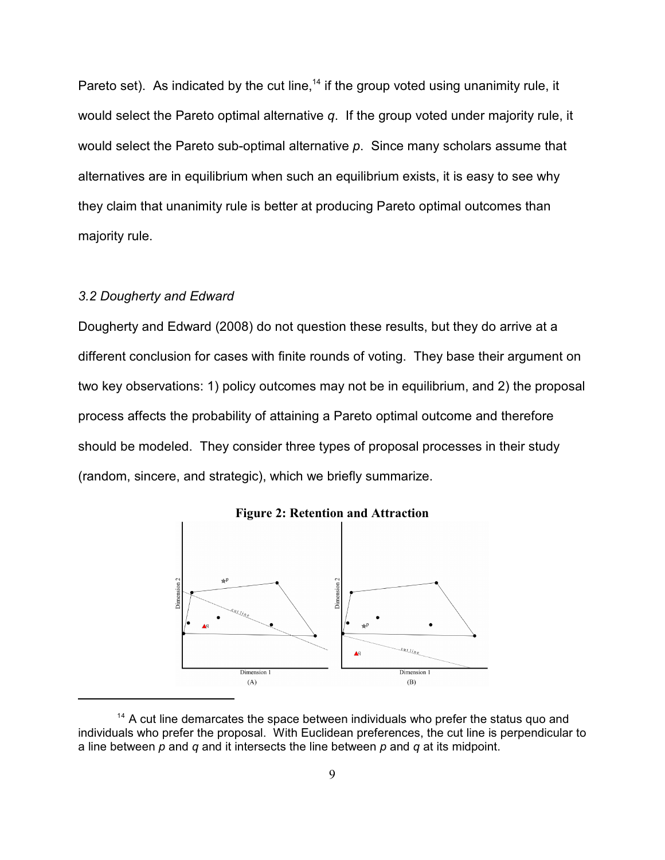Pareto set). As indicated by the cut line,<sup> $14$ </sup> if the group voted using unanimity rule, it would select the Pareto optimal alternative *q*. If the group voted under majority rule, it would select the Pareto sub-optimal alternative *p*. Since many scholars assume that alternatives are in equilibrium when such an equilibrium exists, it is easy to see why they claim that unanimity rule is better at producing Pareto optimal outcomes than majority rule.

# *3.2 Dougherty and Edward*

Dougherty and Edward (2008) do not question these results, but they do arrive at a different conclusion for cases with finite rounds of voting. They base their argument on two key observations: 1) policy outcomes may not be in equilibrium, and 2) the proposal process affects the probability of attaining a Pareto optimal outcome and therefore should be modeled. They consider three types of proposal processes in their study (random, sincere, and strategic), which we briefly summarize.



**Figure 2: Retention and Attraction**

 $14$  A cut line demarcates the space between individuals who prefer the status quo and individuals who prefer the proposal. With Euclidean preferences, the cut line is perpendicular to a line between *p* and *q* and it intersects the line between *p* and *q* at its midpoint.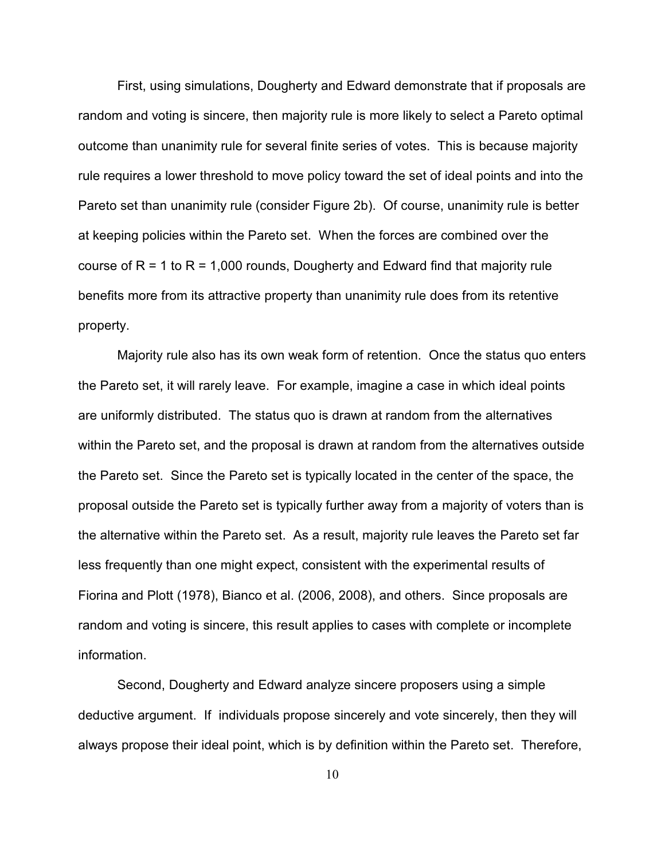First, using simulations, Dougherty and Edward demonstrate that if proposals are random and voting is sincere, then majority rule is more likely to select a Pareto optimal outcome than unanimity rule for several finite series of votes. This is because majority rule requires a lower threshold to move policy toward the set of ideal points and into the Pareto set than unanimity rule (consider Figure 2b). Of course, unanimity rule is better at keeping policies within the Pareto set. When the forces are combined over the course of  $R = 1$  to  $R = 1,000$  rounds, Dougherty and Edward find that majority rule benefits more from its attractive property than unanimity rule does from its retentive property.

Majority rule also has its own weak form of retention. Once the status quo enters the Pareto set, it will rarely leave. For example, imagine a case in which ideal points are uniformly distributed. The status quo is drawn at random from the alternatives within the Pareto set, and the proposal is drawn at random from the alternatives outside the Pareto set. Since the Pareto set is typically located in the center of the space, the proposal outside the Pareto set is typically further away from a majority of voters than is the alternative within the Pareto set. As a result, majority rule leaves the Pareto set far less frequently than one might expect, consistent with the experimental results of Fiorina and Plott (1978), Bianco et al. (2006, 2008), and others. Since proposals are random and voting is sincere, this result applies to cases with complete or incomplete information.

Second, Dougherty and Edward analyze sincere proposers using a simple deductive argument. If individuals propose sincerely and vote sincerely, then they will always propose their ideal point, which is by definition within the Pareto set. Therefore,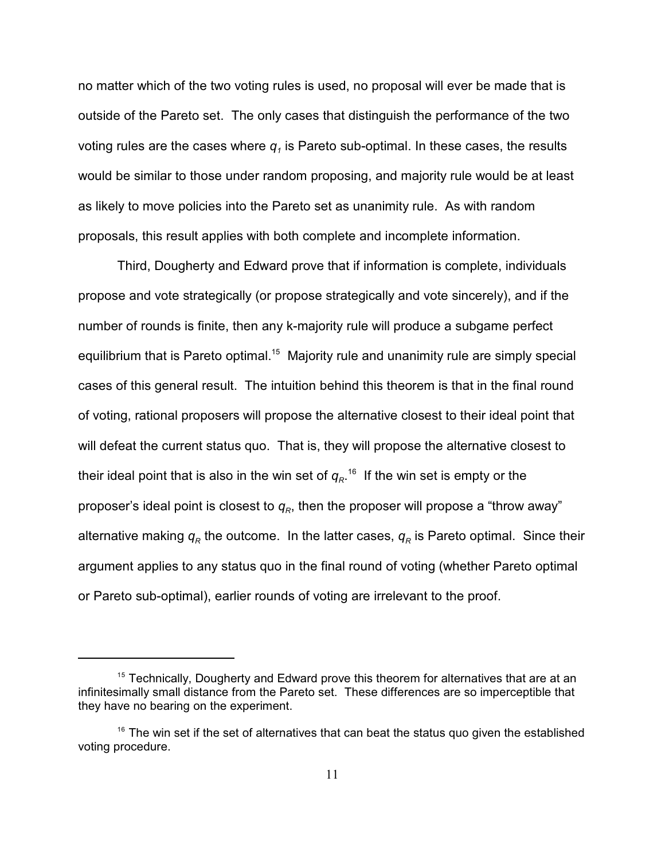no matter which of the two voting rules is used, no proposal will ever be made that is outside of the Pareto set. The only cases that distinguish the performance of the two voting rules are the cases where  $\boldsymbol{q}_i$  is Pareto sub-optimal. In these cases, the results would be similar to those under random proposing, and majority rule would be at least as likely to move policies into the Pareto set as unanimity rule. As with random proposals, this result applies with both complete and incomplete information.

Third, Dougherty and Edward prove that if information is complete, individuals propose and vote strategically (or propose strategically and vote sincerely), and if the number of rounds is finite, then any k-majority rule will produce a subgame perfect equilibrium that is Pareto optimal.<sup>15</sup> Majority rule and unanimity rule are simply special cases of this general result. The intuition behind this theorem is that in the final round of voting, rational proposers will propose the alternative closest to their ideal point that will defeat the current status quo. That is, they will propose the alternative closest to their ideal point that is also in the win set of  $q_{\scriptscriptstyle R}$   $^{\scriptscriptstyle 16}$  If the win set is empty or the proposer's ideal point is closest to  $q_{\scriptscriptstyle R}$ , then the proposer will propose a "throw away" alternative making  $q_R$  the outcome. In the latter cases,  $q_R$  is Pareto optimal. Since their argument applies to any status quo in the final round of voting (whether Pareto optimal or Pareto sub-optimal), earlier rounds of voting are irrelevant to the proof.

 $15$  Technically, Dougherty and Edward prove this theorem for alternatives that are at an infinitesimally small distance from the Pareto set. These differences are so imperceptible that they have no bearing on the experiment.

 $16$  The win set if the set of alternatives that can beat the status quo given the established voting procedure.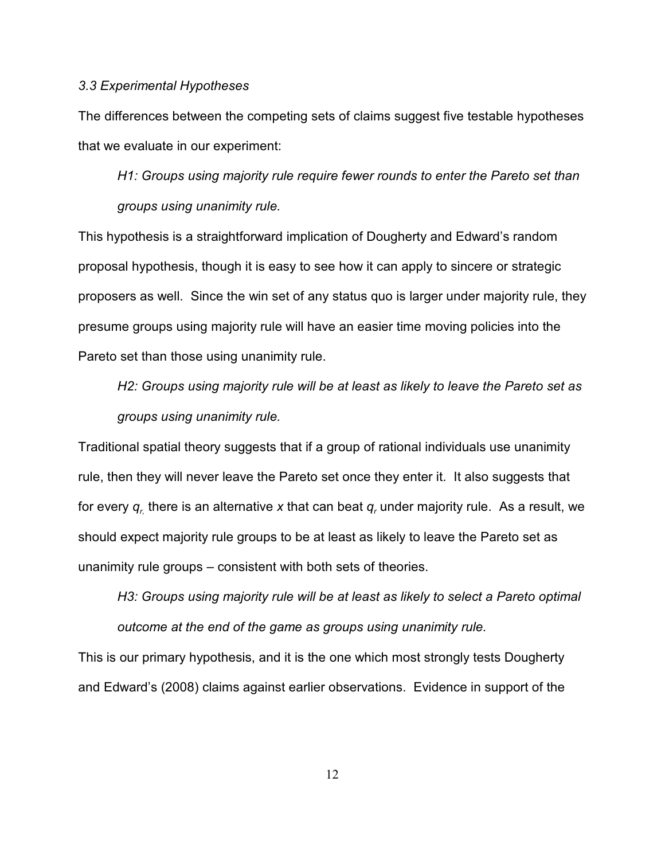### *3.3 Experimental Hypotheses*

The differences between the competing sets of claims suggest five testable hypotheses that we evaluate in our experiment:

*H1: Groups using majority rule require fewer rounds to enter the Pareto set than groups using unanimity rule.*

This hypothesis is a straightforward implication of Dougherty and Edward's random proposal hypothesis, though it is easy to see how it can apply to sincere or strategic proposers as well. Since the win set of any status quo is larger under majority rule, they presume groups using majority rule will have an easier time moving policies into the Pareto set than those using unanimity rule.

*H2: Groups using majority rule will be at least as likely to leave the Pareto set as groups using unanimity rule.*

Traditional spatial theory suggests that if a group of rational individuals use unanimity rule, then they will never leave the Pareto set once they enter it. It also suggests that for every  $\bm{q}_{\scriptscriptstyle L}$  there is an alternative  $\bm{x}$  that can beat  $\bm{q}_{\scriptscriptstyle \tau}$  under majority rule.  $\bm{\mathsf{As}}$  a result, we should expect majority rule groups to be at least as likely to leave the Pareto set as unanimity rule groups – consistent with both sets of theories.

*H3: Groups using majority rule will be at least as likely to select a Pareto optimal outcome at the end of the game as groups using unanimity rule.*

This is our primary hypothesis, and it is the one which most strongly tests Dougherty and Edward's (2008) claims against earlier observations. Evidence in support of the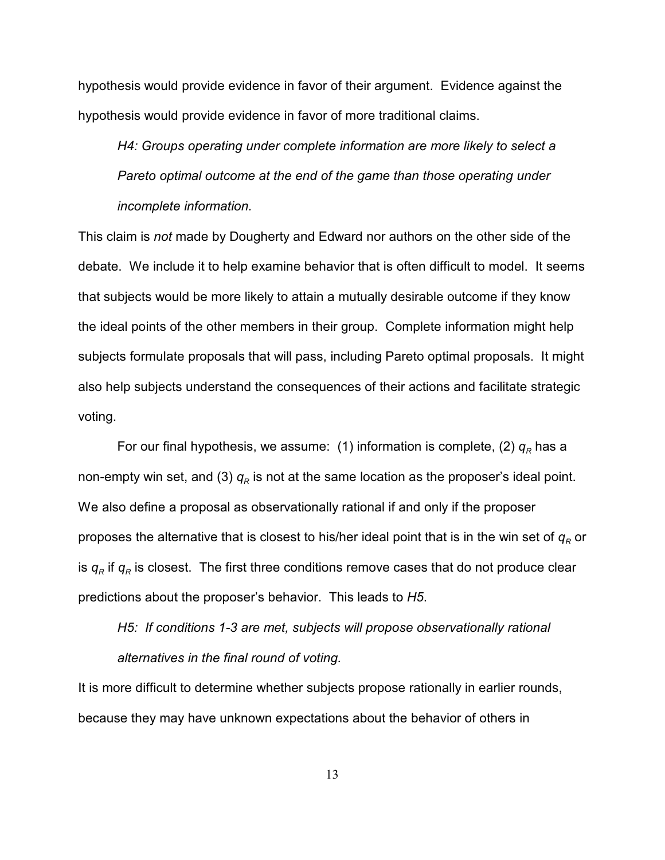hypothesis would provide evidence in favor of their argument. Evidence against the hypothesis would provide evidence in favor of more traditional claims.

*H4: Groups operating under complete information are more likely to select a Pareto optimal outcome at the end of the game than those operating under incomplete information.*

This claim is *not* made by Dougherty and Edward nor authors on the other side of the debate. We include it to help examine behavior that is often difficult to model. It seems that subjects would be more likely to attain a mutually desirable outcome if they know the ideal points of the other members in their group. Complete information might help subjects formulate proposals that will pass, including Pareto optimal proposals. It might also help subjects understand the consequences of their actions and facilitate strategic voting.

For our final hypothesis, we assume:  $\,$  (1) information is complete, (2)  $q_{\scriptscriptstyle R}$  has a non-empty win set, and (3)  $q_{\scriptscriptstyle R}$  is not at the same location as the proposer's ideal point. We also define a proposal as observationally rational if and only if the proposer proposes the alternative that is closest to his/her ideal point that is in the win set of  $q_{\scriptscriptstyle R}$  or is  $q_R$  if  $q_R$  is closest. The first three conditions remove cases that do not produce clear predictions about the proposer's behavior. This leads to *H5*.

*H5: If conditions 1-3 are met, subjects will propose observationally rational alternatives in the final round of voting.*

It is more difficult to determine whether subjects propose rationally in earlier rounds, because they may have unknown expectations about the behavior of others in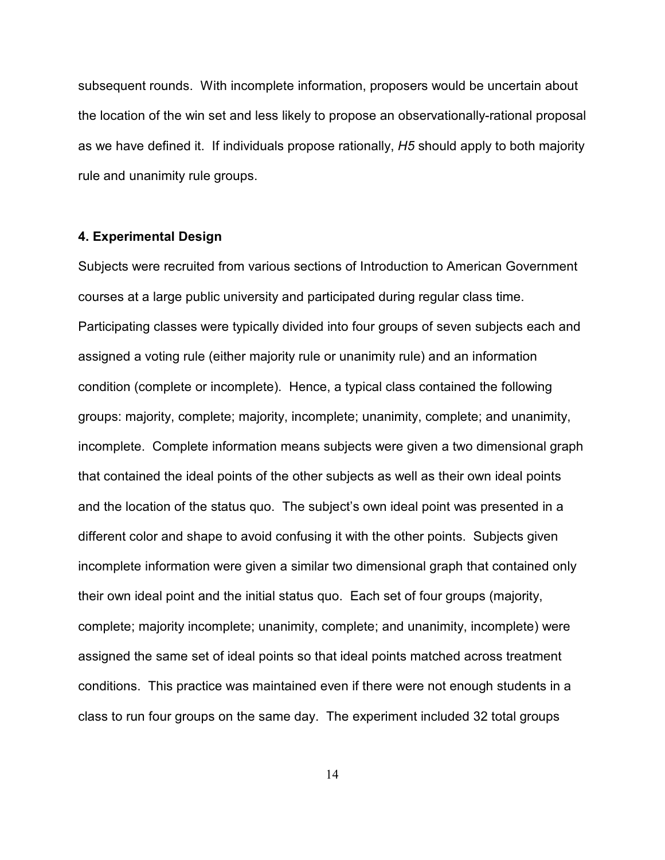subsequent rounds. With incomplete information, proposers would be uncertain about the location of the win set and less likely to propose an observationally-rational proposal as we have defined it. If individuals propose rationally, *H5* should apply to both majority rule and unanimity rule groups.

### **4. Experimental Design**

Subjects were recruited from various sections of Introduction to American Government courses at a large public university and participated during regular class time. Participating classes were typically divided into four groups of seven subjects each and assigned a voting rule (either majority rule or unanimity rule) and an information condition (complete or incomplete). Hence, a typical class contained the following groups: majority, complete; majority, incomplete; unanimity, complete; and unanimity, incomplete. Complete information means subjects were given a two dimensional graph that contained the ideal points of the other subjects as well as their own ideal points and the location of the status quo. The subject's own ideal point was presented in a different color and shape to avoid confusing it with the other points. Subjects given incomplete information were given a similar two dimensional graph that contained only their own ideal point and the initial status quo. Each set of four groups (majority, complete; majority incomplete; unanimity, complete; and unanimity, incomplete) were assigned the same set of ideal points so that ideal points matched across treatment conditions. This practice was maintained even if there were not enough students in a class to run four groups on the same day. The experiment included 32 total groups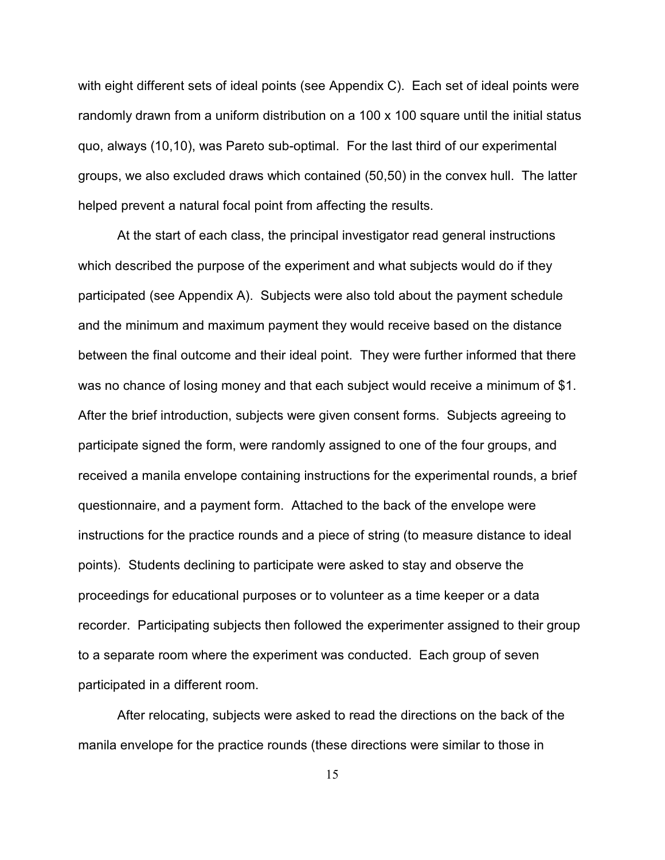with eight different sets of ideal points (see Appendix C). Each set of ideal points were randomly drawn from a uniform distribution on a 100 x 100 square until the initial status quo, always (10,10), was Pareto sub-optimal. For the last third of our experimental groups, we also excluded draws which contained (50,50) in the convex hull. The latter helped prevent a natural focal point from affecting the results.

At the start of each class, the principal investigator read general instructions which described the purpose of the experiment and what subjects would do if they participated (see Appendix A). Subjects were also told about the payment schedule and the minimum and maximum payment they would receive based on the distance between the final outcome and their ideal point. They were further informed that there was no chance of losing money and that each subject would receive a minimum of \$1. After the brief introduction, subjects were given consent forms. Subjects agreeing to participate signed the form, were randomly assigned to one of the four groups, and received a manila envelope containing instructions for the experimental rounds, a brief questionnaire, and a payment form. Attached to the back of the envelope were instructions for the practice rounds and a piece of string (to measure distance to ideal points). Students declining to participate were asked to stay and observe the proceedings for educational purposes or to volunteer as a time keeper or a data recorder. Participating subjects then followed the experimenter assigned to their group to a separate room where the experiment was conducted. Each group of seven participated in a different room.

After relocating, subjects were asked to read the directions on the back of the manila envelope for the practice rounds (these directions were similar to those in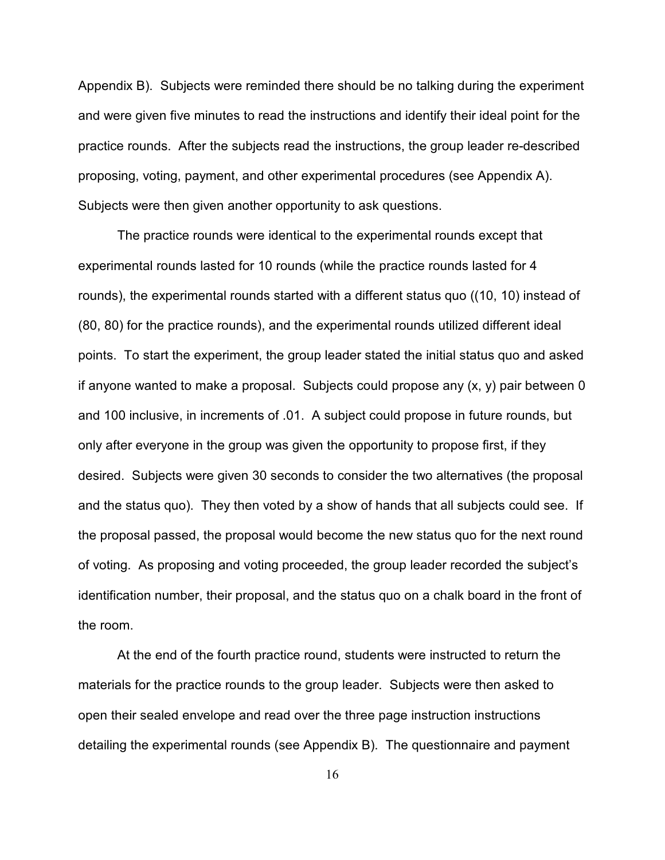Appendix B). Subjects were reminded there should be no talking during the experiment and were given five minutes to read the instructions and identify their ideal point for the practice rounds. After the subjects read the instructions, the group leader re-described proposing, voting, payment, and other experimental procedures (see Appendix A). Subjects were then given another opportunity to ask questions.

The practice rounds were identical to the experimental rounds except that experimental rounds lasted for 10 rounds (while the practice rounds lasted for 4 rounds), the experimental rounds started with a different status quo ((10, 10) instead of (80, 80) for the practice rounds), and the experimental rounds utilized different ideal points. To start the experiment, the group leader stated the initial status quo and asked if anyone wanted to make a proposal. Subjects could propose any  $(x, y)$  pair between 0 and 100 inclusive, in increments of .01. A subject could propose in future rounds, but only after everyone in the group was given the opportunity to propose first, if they desired. Subjects were given 30 seconds to consider the two alternatives (the proposal and the status quo). They then voted by a show of hands that all subjects could see. If the proposal passed, the proposal would become the new status quo for the next round of voting. As proposing and voting proceeded, the group leader recorded the subject's identification number, their proposal, and the status quo on a chalk board in the front of the room.

At the end of the fourth practice round, students were instructed to return the materials for the practice rounds to the group leader. Subjects were then asked to open their sealed envelope and read over the three page instruction instructions detailing the experimental rounds (see Appendix B). The questionnaire and payment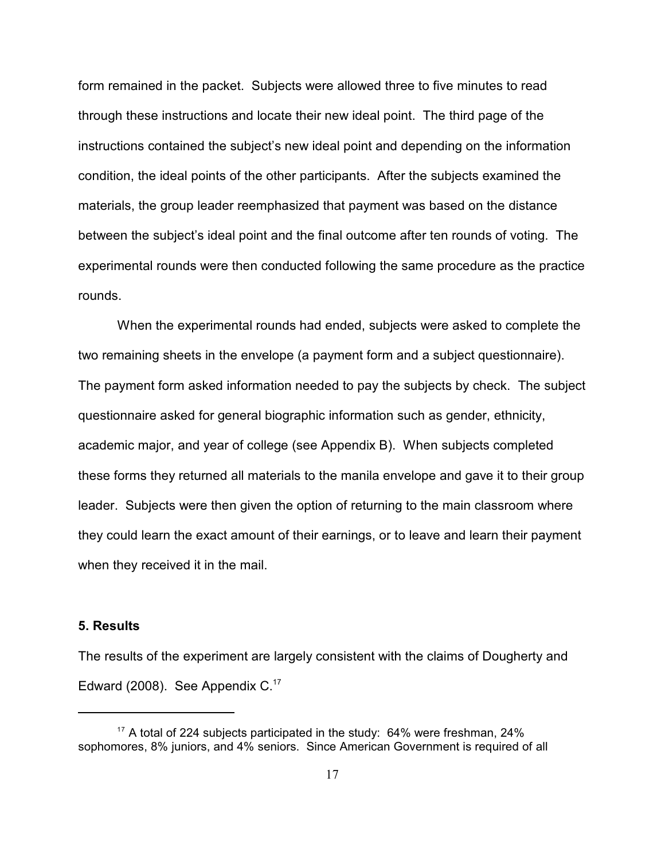form remained in the packet. Subjects were allowed three to five minutes to read through these instructions and locate their new ideal point. The third page of the instructions contained the subject's new ideal point and depending on the information condition, the ideal points of the other participants. After the subjects examined the materials, the group leader reemphasized that payment was based on the distance between the subject's ideal point and the final outcome after ten rounds of voting. The experimental rounds were then conducted following the same procedure as the practice rounds.

When the experimental rounds had ended, subjects were asked to complete the two remaining sheets in the envelope (a payment form and a subject questionnaire). The payment form asked information needed to pay the subjects by check. The subject questionnaire asked for general biographic information such as gender, ethnicity, academic major, and year of college (see Appendix B). When subjects completed these forms they returned all materials to the manila envelope and gave it to their group leader. Subjects were then given the option of returning to the main classroom where they could learn the exact amount of their earnings, or to leave and learn their payment when they received it in the mail.

### **5. Results**

The results of the experiment are largely consistent with the claims of Dougherty and Edward (2008). See Appendix  $C^{17}$ 

<sup>&</sup>lt;sup>17</sup> A total of 224 subjects participated in the study: 64% were freshman, 24% sophomores, 8% juniors, and 4% seniors. Since American Government is required of all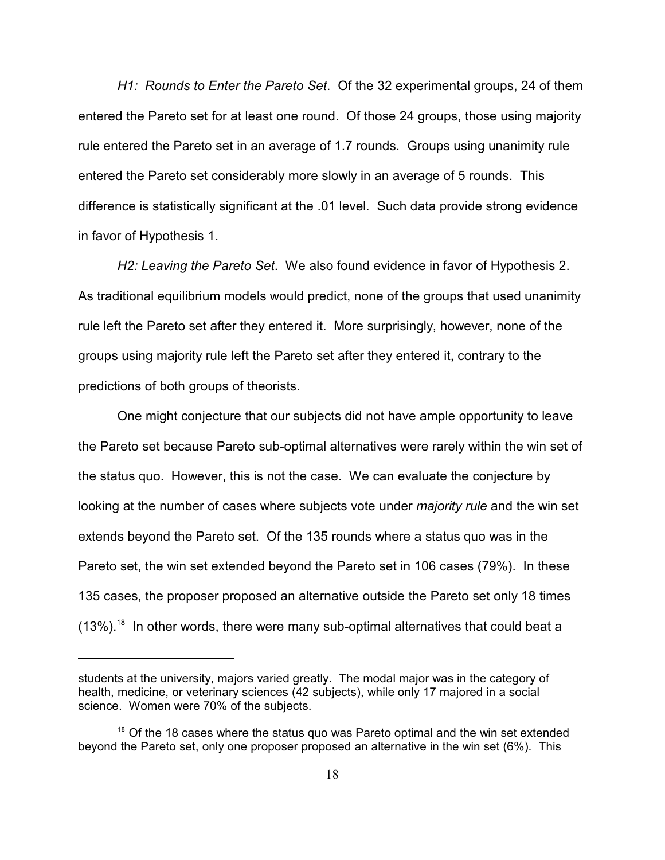*H1: Rounds to Enter the Pareto Set*. Of the 32 experimental groups, 24 of them entered the Pareto set for at least one round. Of those 24 groups, those using majority rule entered the Pareto set in an average of 1.7 rounds. Groups using unanimity rule entered the Pareto set considerably more slowly in an average of 5 rounds. This difference is statistically significant at the .01 level. Such data provide strong evidence in favor of Hypothesis 1.

*H2: Leaving the Pareto Set*. We also found evidence in favor of Hypothesis 2. As traditional equilibrium models would predict, none of the groups that used unanimity rule left the Pareto set after they entered it. More surprisingly, however, none of the groups using majority rule left the Pareto set after they entered it, contrary to the predictions of both groups of theorists.

One might conjecture that our subjects did not have ample opportunity to leave the Pareto set because Pareto sub-optimal alternatives were rarely within the win set of the status quo. However, this is not the case. We can evaluate the conjecture by looking at the number of cases where subjects vote under *majority rule* and the win set extends beyond the Pareto set. Of the 135 rounds where a status quo was in the Pareto set, the win set extended beyond the Pareto set in 106 cases (79%). In these 135 cases, the proposer proposed an alternative outside the Pareto set only 18 times  $(13\%)$ .<sup>18</sup> In other words, there were many sub-optimal alternatives that could beat a

students at the university, majors varied greatly. The modal major was in the category of health, medicine, or veterinary sciences (42 subjects), while only 17 majored in a social science. Women were 70% of the subjects.

 $18$  Of the 18 cases where the status quo was Pareto optimal and the win set extended beyond the Pareto set, only one proposer proposed an alternative in the win set (6%). This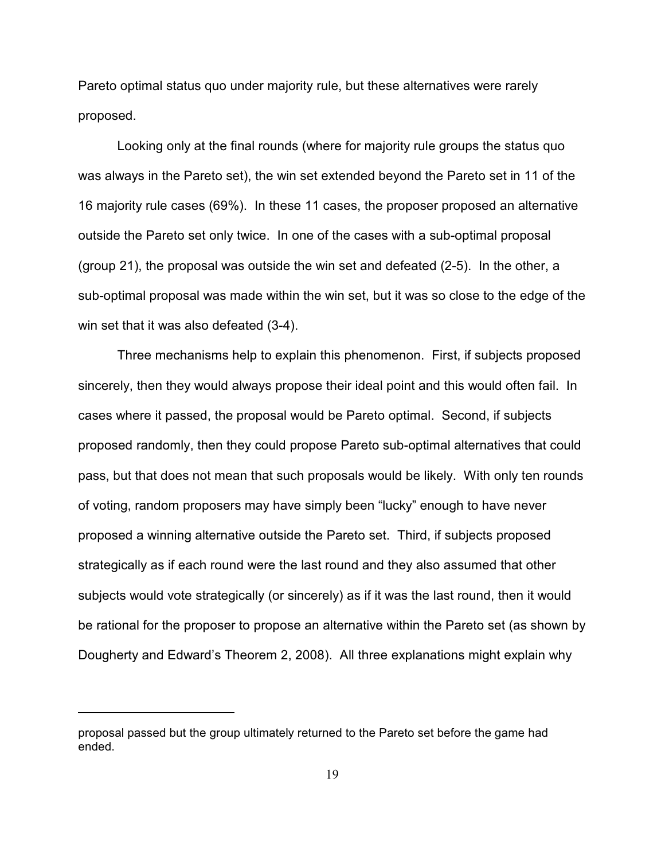Pareto optimal status quo under majority rule, but these alternatives were rarely proposed.

Looking only at the final rounds (where for majority rule groups the status quo was always in the Pareto set), the win set extended beyond the Pareto set in 11 of the 16 majority rule cases (69%). In these 11 cases, the proposer proposed an alternative outside the Pareto set only twice. In one of the cases with a sub-optimal proposal (group 21), the proposal was outside the win set and defeated (2-5). In the other, a sub-optimal proposal was made within the win set, but it was so close to the edge of the win set that it was also defeated (3-4).

Three mechanisms help to explain this phenomenon. First, if subjects proposed sincerely, then they would always propose their ideal point and this would often fail. In cases where it passed, the proposal would be Pareto optimal. Second, if subjects proposed randomly, then they could propose Pareto sub-optimal alternatives that could pass, but that does not mean that such proposals would be likely. With only ten rounds of voting, random proposers may have simply been "lucky" enough to have never proposed a winning alternative outside the Pareto set. Third, if subjects proposed strategically as if each round were the last round and they also assumed that other subjects would vote strategically (or sincerely) as if it was the last round, then it would be rational for the proposer to propose an alternative within the Pareto set (as shown by Dougherty and Edward's Theorem 2, 2008). All three explanations might explain why

proposal passed but the group ultimately returned to the Pareto set before the game had ended.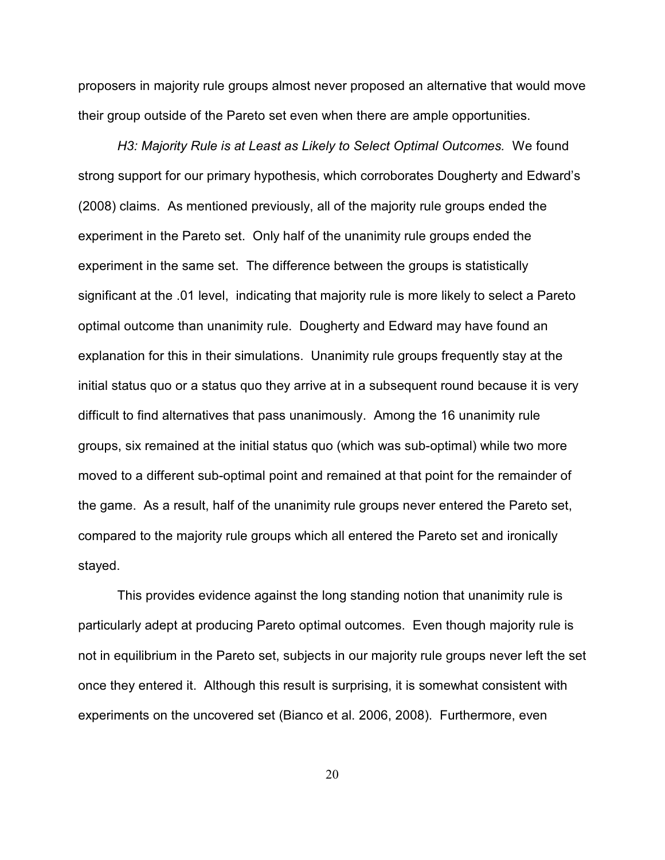proposers in majority rule groups almost never proposed an alternative that would move their group outside of the Pareto set even when there are ample opportunities.

*H3: Majority Rule is at Least as Likely to Select Optimal Outcomes.* We found strong support for our primary hypothesis, which corroborates Dougherty and Edward's (2008) claims. As mentioned previously, all of the majority rule groups ended the experiment in the Pareto set. Only half of the unanimity rule groups ended the experiment in the same set. The difference between the groups is statistically significant at the .01 level, indicating that majority rule is more likely to select a Pareto optimal outcome than unanimity rule. Dougherty and Edward may have found an explanation for this in their simulations. Unanimity rule groups frequently stay at the initial status quo or a status quo they arrive at in a subsequent round because it is very difficult to find alternatives that pass unanimously. Among the 16 unanimity rule groups, six remained at the initial status quo (which was sub-optimal) while two more moved to a different sub-optimal point and remained at that point for the remainder of the game. As a result, half of the unanimity rule groups never entered the Pareto set, compared to the majority rule groups which all entered the Pareto set and ironically stayed.

This provides evidence against the long standing notion that unanimity rule is particularly adept at producing Pareto optimal outcomes. Even though majority rule is not in equilibrium in the Pareto set, subjects in our majority rule groups never left the set once they entered it. Although this result is surprising, it is somewhat consistent with experiments on the uncovered set (Bianco et al. 2006, 2008). Furthermore, even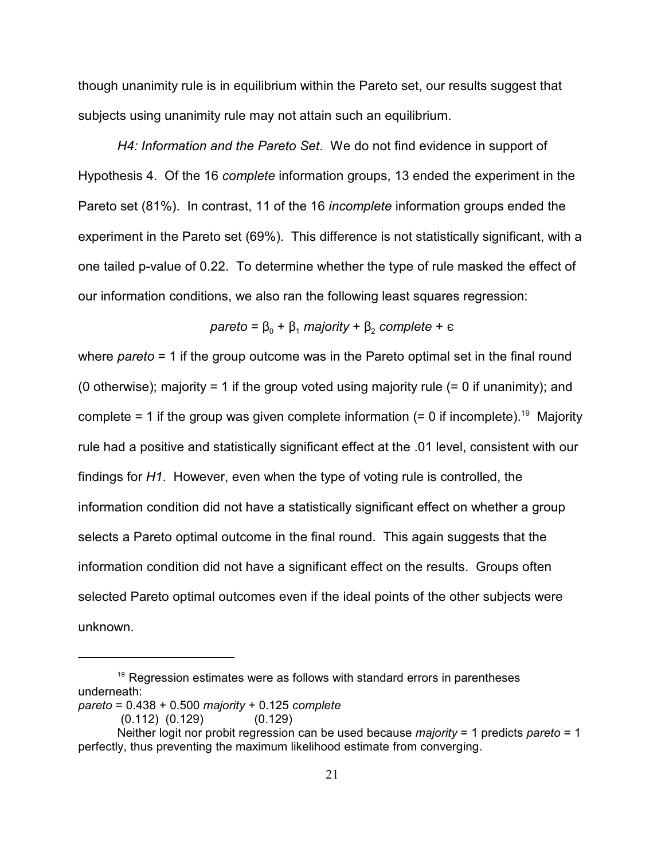though unanimity rule is in equilibrium within the Pareto set, our results suggest that subjects using unanimity rule may not attain such an equilibrium.

*H4: Information and the Pareto Set*. We do not find evidence in support of Hypothesis 4. Of the 16 *complete* information groups, 13 ended the experiment in the Pareto set (81%). In contrast, 11 of the 16 *incomplete* information groups ended the experiment in the Pareto set (69%). This difference is not statistically significant, with a one tailed p-value of 0.22. To determine whether the type of rule masked the effect of our information conditions, we also ran the following least squares regression:

$$
pareto = β0 + β1 majority + β2 complete + ε
$$

where *pareto* = 1 if the group outcome was in the Pareto optimal set in the final round (0 otherwise); majority = 1 if the group voted using majority rule  $(= 0)$  if unanimity); and complete = 1 if the group was given complete information (= 0 if incomplete).<sup>19</sup> Majority rule had a positive and statistically significant effect at the .01 level, consistent with our findings for *H1*. However, even when the type of voting rule is controlled, the information condition did not have a statistically significant effect on whether a group selects a Pareto optimal outcome in the final round. This again suggests that the information condition did not have a significant effect on the results. Groups often selected Pareto optimal outcomes even if the ideal points of the other subjects were unknown.

 $19$  Regression estimates were as follows with standard errors in parentheses underneath:

*pareto* = 0.438 + 0.500 *majority* + 0.125 *complete*

 <sup>(0.112) (0.129) (0.129)</sup>

Neither logit nor probit regression can be used because *majority* = 1 predicts *pareto* = 1 perfectly, thus preventing the maximum likelihood estimate from converging.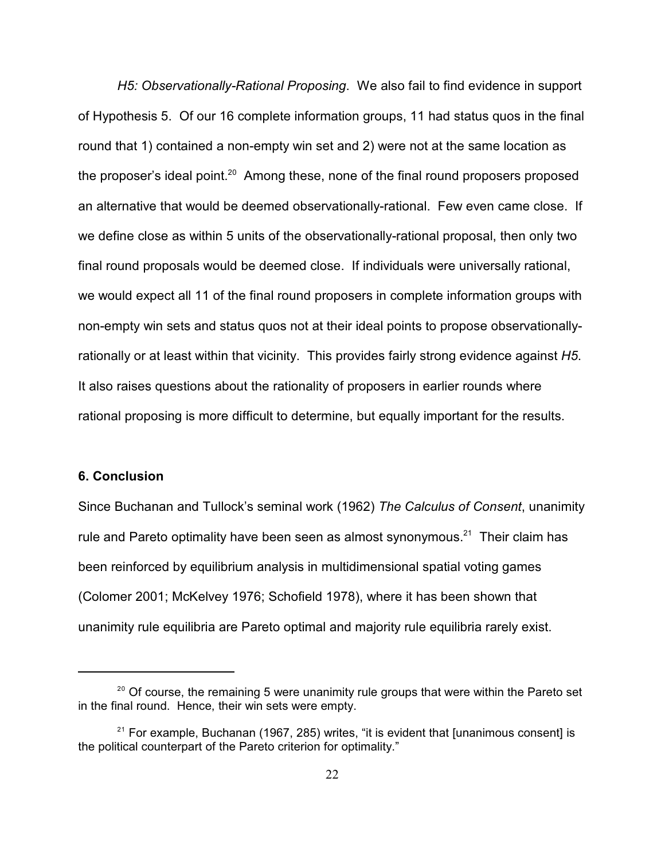*H5: Observationally-Rational Proposing*. We also fail to find evidence in support of Hypothesis 5. Of our 16 complete information groups, 11 had status quos in the final round that 1) contained a non-empty win set and 2) were not at the same location as the proposer's ideal point. $^{20}$  Among these, none of the final round proposers proposed an alternative that would be deemed observationally-rational. Few even came close. If we define close as within 5 units of the observationally-rational proposal, then only two final round proposals would be deemed close. If individuals were universally rational, we would expect all 11 of the final round proposers in complete information groups with non-empty win sets and status quos not at their ideal points to propose observationallyrationally or at least within that vicinity. This provides fairly strong evidence against *H5*. It also raises questions about the rationality of proposers in earlier rounds where rational proposing is more difficult to determine, but equally important for the results.

#### **6. Conclusion**

Since Buchanan and Tullock's seminal work (1962) *The Calculus of Consent*, unanimity rule and Pareto optimality have been seen as almost synonymous.<sup>21</sup> Their claim has been reinforced by equilibrium analysis in multidimensional spatial voting games (Colomer 2001; McKelvey 1976; Schofield 1978), where it has been shown that unanimity rule equilibria are Pareto optimal and majority rule equilibria rarely exist.

 $^{20}$  Of course, the remaining 5 were unanimity rule groups that were within the Pareto set in the final round. Hence, their win sets were empty.

 $21$  For example, Buchanan (1967, 285) writes, "it is evident that [unanimous consent] is the political counterpart of the Pareto criterion for optimality."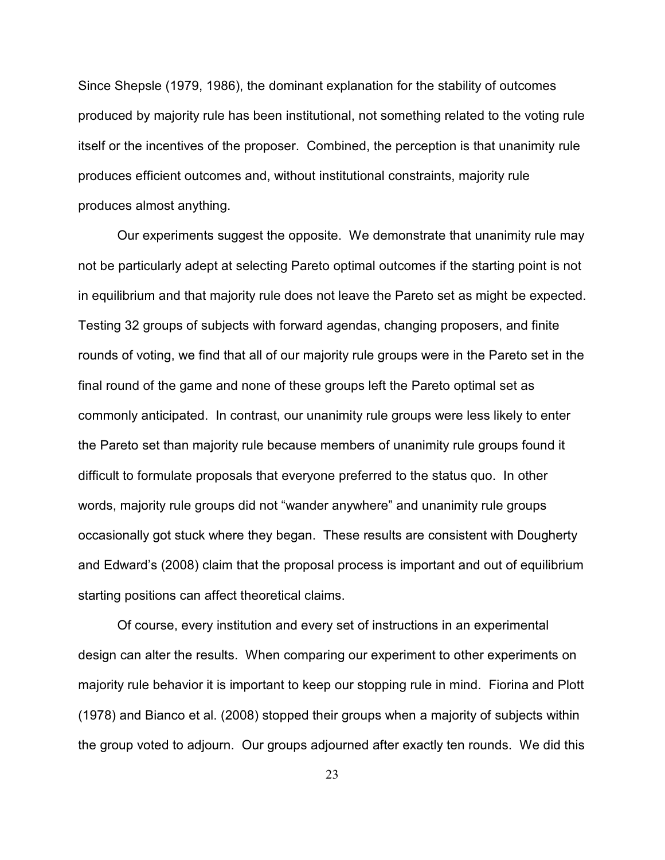Since Shepsle (1979, 1986), the dominant explanation for the stability of outcomes produced by majority rule has been institutional, not something related to the voting rule itself or the incentives of the proposer. Combined, the perception is that unanimity rule produces efficient outcomes and, without institutional constraints, majority rule produces almost anything.

Our experiments suggest the opposite. We demonstrate that unanimity rule may not be particularly adept at selecting Pareto optimal outcomes if the starting point is not in equilibrium and that majority rule does not leave the Pareto set as might be expected. Testing 32 groups of subjects with forward agendas, changing proposers, and finite rounds of voting, we find that all of our majority rule groups were in the Pareto set in the final round of the game and none of these groups left the Pareto optimal set as commonly anticipated. In contrast, our unanimity rule groups were less likely to enter the Pareto set than majority rule because members of unanimity rule groups found it difficult to formulate proposals that everyone preferred to the status quo. In other words, majority rule groups did not "wander anywhere" and unanimity rule groups occasionally got stuck where they began. These results are consistent with Dougherty and Edward's (2008) claim that the proposal process is important and out of equilibrium starting positions can affect theoretical claims.

Of course, every institution and every set of instructions in an experimental design can alter the results. When comparing our experiment to other experiments on majority rule behavior it is important to keep our stopping rule in mind. Fiorina and Plott (1978) and Bianco et al. (2008) stopped their groups when a majority of subjects within the group voted to adjourn. Our groups adjourned after exactly ten rounds. We did this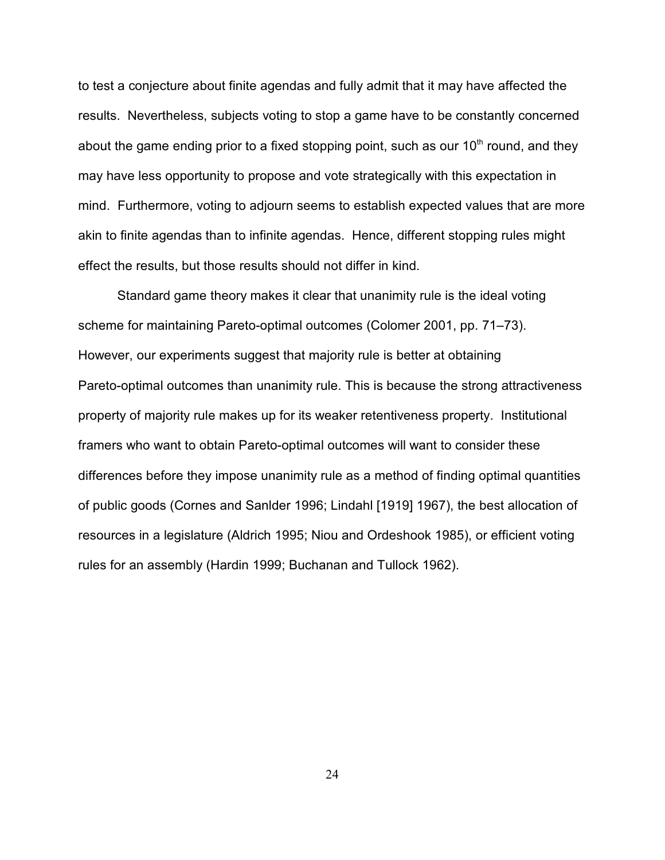to test a conjecture about finite agendas and fully admit that it may have affected the results. Nevertheless, subjects voting to stop a game have to be constantly concerned about the game ending prior to a fixed stopping point, such as our  $10<sup>th</sup>$  round, and they may have less opportunity to propose and vote strategically with this expectation in mind. Furthermore, voting to adjourn seems to establish expected values that are more akin to finite agendas than to infinite agendas. Hence, different stopping rules might effect the results, but those results should not differ in kind.

Standard game theory makes it clear that unanimity rule is the ideal voting scheme for maintaining Pareto-optimal outcomes (Colomer 2001, pp. 71–73). However, our experiments suggest that majority rule is better at obtaining Pareto-optimal outcomes than unanimity rule. This is because the strong attractiveness property of majority rule makes up for its weaker retentiveness property. Institutional framers who want to obtain Pareto-optimal outcomes will want to consider these differences before they impose unanimity rule as a method of finding optimal quantities of public goods (Cornes and Sanlder 1996; Lindahl [1919] 1967), the best allocation of resources in a legislature (Aldrich 1995; Niou and Ordeshook 1985), or efficient voting rules for an assembly (Hardin 1999; Buchanan and Tullock 1962).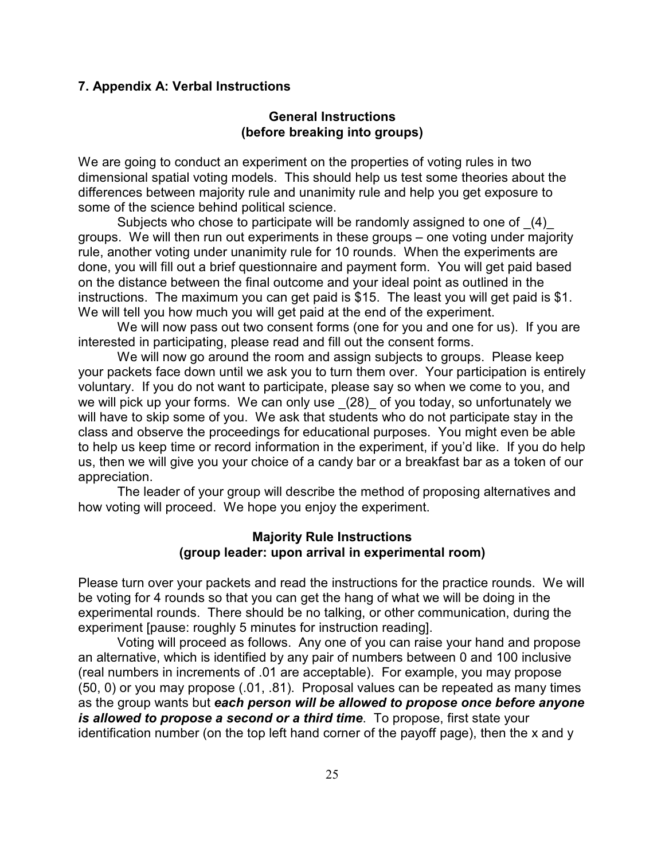### **7. Appendix A: Verbal Instructions**

## **General Instructions (before breaking into groups)**

We are going to conduct an experiment on the properties of voting rules in two dimensional spatial voting models. This should help us test some theories about the differences between majority rule and unanimity rule and help you get exposure to some of the science behind political science.

Subjects who chose to participate will be randomly assigned to one of (4) groups. We will then run out experiments in these groups – one voting under majority rule, another voting under unanimity rule for 10 rounds. When the experiments are done, you will fill out a brief questionnaire and payment form. You will get paid based on the distance between the final outcome and your ideal point as outlined in the instructions. The maximum you can get paid is \$15. The least you will get paid is \$1. We will tell you how much you will get paid at the end of the experiment.

We will now pass out two consent forms (one for you and one for us). If you are interested in participating, please read and fill out the consent forms.

We will now go around the room and assign subjects to groups. Please keep your packets face down until we ask you to turn them over. Your participation is entirely voluntary. If you do not want to participate, please say so when we come to you, and we will pick up your forms. We can only use (28) of you today, so unfortunately we will have to skip some of you. We ask that students who do not participate stay in the class and observe the proceedings for educational purposes. You might even be able to help us keep time or record information in the experiment, if you'd like. If you do help us, then we will give you your choice of a candy bar or a breakfast bar as a token of our appreciation.

The leader of your group will describe the method of proposing alternatives and how voting will proceed. We hope you enjoy the experiment.

# **Majority Rule Instructions (group leader: upon arrival in experimental room)**

Please turn over your packets and read the instructions for the practice rounds. We will be voting for 4 rounds so that you can get the hang of what we will be doing in the experimental rounds. There should be no talking, or other communication, during the experiment [pause: roughly 5 minutes for instruction reading].

Voting will proceed as follows. Any one of you can raise your hand and propose an alternative, which is identified by any pair of numbers between 0 and 100 inclusive (real numbers in increments of .01 are acceptable). For example, you may propose (50, 0) or you may propose (.01, .81). Proposal values can be repeated as many times as the group wants but *each person will be allowed to propose once before anyone is allowed to propose a second or a third time*. To propose, first state your identification number (on the top left hand corner of the payoff page), then the x and y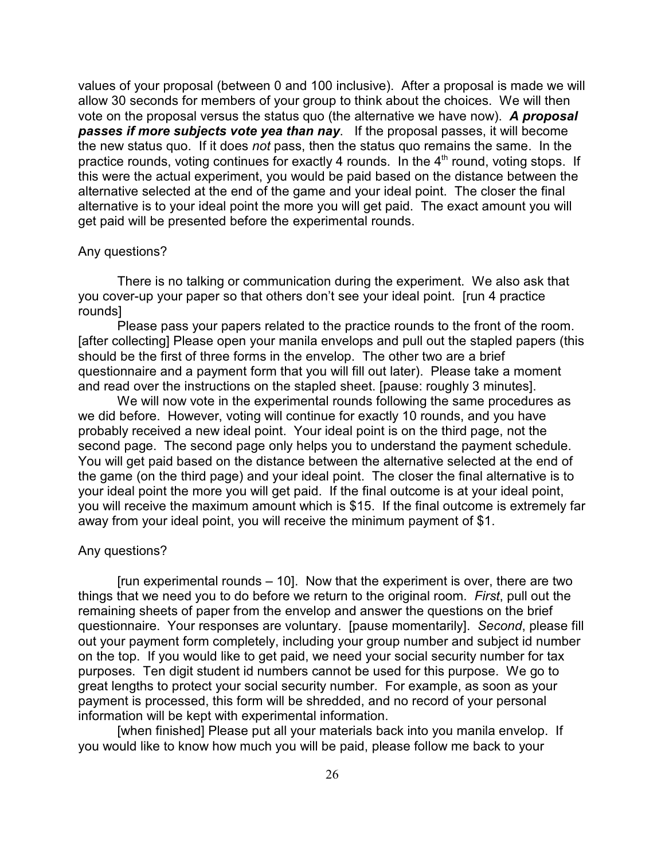values of your proposal (between 0 and 100 inclusive). After a proposal is made we will allow 30 seconds for members of your group to think about the choices. We will then vote on the proposal versus the status quo (the alternative we have now). *A proposal passes if more subjects vote yea than nay*. If the proposal passes, it will become the new status quo. If it does *not* pass, then the status quo remains the same. In the practice rounds, voting continues for exactly 4 rounds. In the  $4<sup>th</sup>$  round, voting stops. If this were the actual experiment, you would be paid based on the distance between the alternative selected at the end of the game and your ideal point. The closer the final alternative is to your ideal point the more you will get paid. The exact amount you will get paid will be presented before the experimental rounds.

#### Any questions?

There is no talking or communication during the experiment. We also ask that you cover-up your paper so that others don't see your ideal point. [run 4 practice rounds]

Please pass your papers related to the practice rounds to the front of the room. [after collecting] Please open your manila envelops and pull out the stapled papers (this should be the first of three forms in the envelop. The other two are a brief questionnaire and a payment form that you will fill out later). Please take a moment and read over the instructions on the stapled sheet. [pause: roughly 3 minutes].

We will now vote in the experimental rounds following the same procedures as we did before. However, voting will continue for exactly 10 rounds, and you have probably received a new ideal point. Your ideal point is on the third page, not the second page. The second page only helps you to understand the payment schedule. You will get paid based on the distance between the alternative selected at the end of the game (on the third page) and your ideal point. The closer the final alternative is to your ideal point the more you will get paid. If the final outcome is at your ideal point, you will receive the maximum amount which is \$15. If the final outcome is extremely far away from your ideal point, you will receive the minimum payment of \$1.

#### Any questions?

[run experimental rounds – 10]. Now that the experiment is over, there are two things that we need you to do before we return to the original room. *First*, pull out the remaining sheets of paper from the envelop and answer the questions on the brief questionnaire. Your responses are voluntary. [pause momentarily]. *Second*, please fill out your payment form completely, including your group number and subject id number on the top. If you would like to get paid, we need your social security number for tax purposes. Ten digit student id numbers cannot be used for this purpose. We go to great lengths to protect your social security number. For example, as soon as your payment is processed, this form will be shredded, and no record of your personal information will be kept with experimental information.

[when finished] Please put all your materials back into you manila envelop. If you would like to know how much you will be paid, please follow me back to your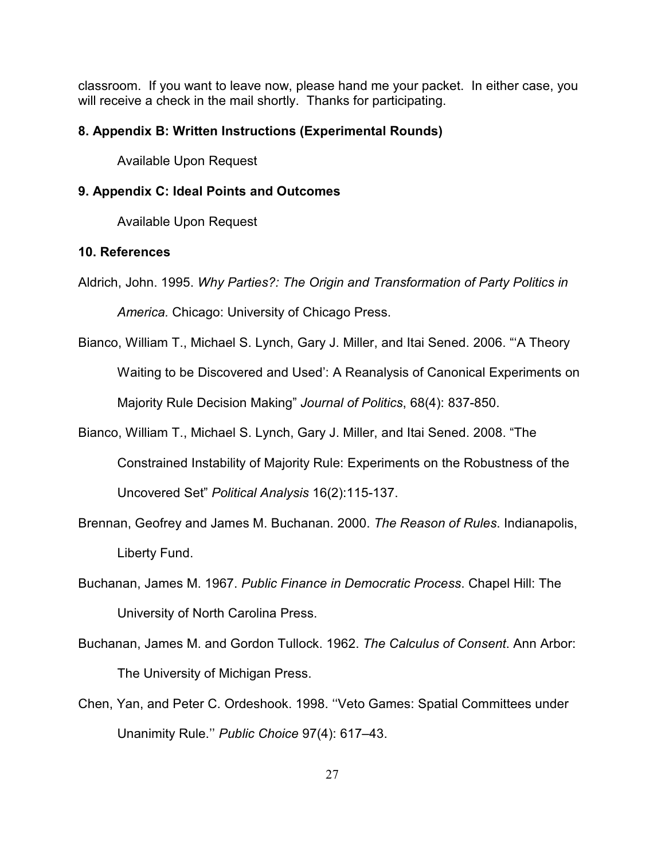classroom. If you want to leave now, please hand me your packet. In either case, you will receive a check in the mail shortly. Thanks for participating.

# **8. Appendix B: Written Instructions (Experimental Rounds)**

Available Upon Request

## **9. Appendix C: Ideal Points and Outcomes**

Available Upon Request

# **10. References**

Aldrich, John. 1995. *Why Parties?: The Origin and Transformation of Party Politics in*

*America.* Chicago: University of Chicago Press.

- Bianco, William T., Michael S. Lynch, Gary J. Miller, and Itai Sened. 2006. "'A Theory Waiting to be Discovered and Used': A Reanalysis of Canonical Experiments on Majority Rule Decision Making" *Journal of Politics*, 68(4): 837-850.
- Bianco, William T., Michael S. Lynch, Gary J. Miller, and Itai Sened. 2008. "The Constrained Instability of Majority Rule: Experiments on the Robustness of the Uncovered Set" *Political Analysis* 16(2):115-137.
- Brennan, Geofrey and James M. Buchanan. 2000. *The Reason of Rules*. Indianapolis, Liberty Fund.
- Buchanan, James M. 1967. *Public Finance in Democratic Process*. Chapel Hill: The University of North Carolina Press.
- Buchanan, James M. and Gordon Tullock. 1962. *The Calculus of Consent*. Ann Arbor: The University of Michigan Press.
- Chen, Yan, and Peter C. Ordeshook. 1998. ''Veto Games: Spatial Committees under Unanimity Rule.'' *Public Choice* 97(4): 617–43.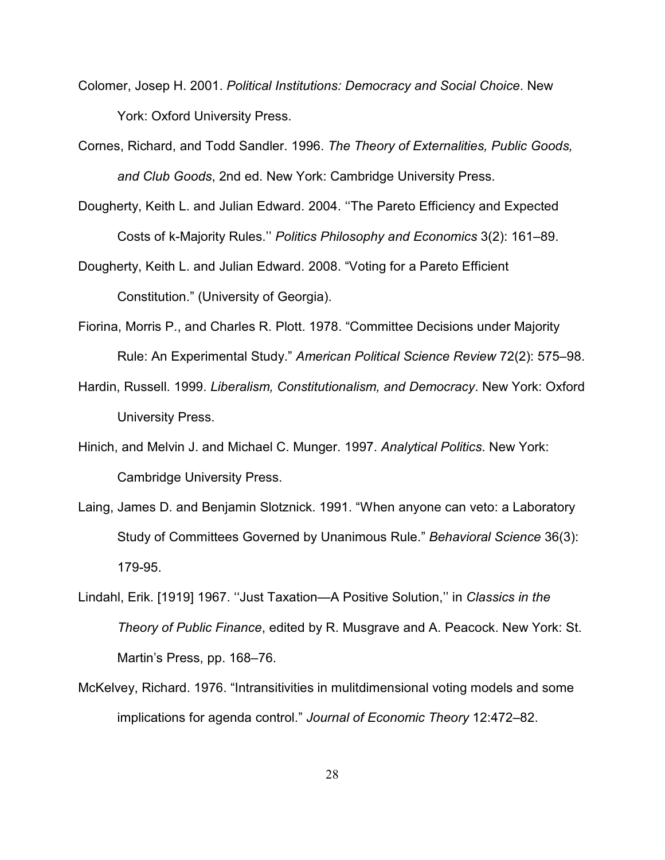- Colomer, Josep H. 2001. *Political Institutions: Democracy and Social Choice*. New York: Oxford University Press.
- Cornes, Richard, and Todd Sandler. 1996. *The Theory of Externalities, Public Goods, and Club Goods*, 2nd ed. New York: Cambridge University Press.
- Dougherty, Keith L. and Julian Edward. 2004. ''The Pareto Efficiency and Expected Costs of k-Majority Rules.'' *Politics Philosophy and Economics* 3(2): 161–89.
- Dougherty, Keith L. and Julian Edward. 2008. "Voting for a Pareto Efficient Constitution." (University of Georgia).
- Fiorina, Morris P., and Charles R. Plott. 1978. "Committee Decisions under Majority Rule: An Experimental Study." *American Political Science Review* 72(2): 575–98.
- Hardin, Russell. 1999. *Liberalism, Constitutionalism, and Democracy*. New York: Oxford University Press.
- Hinich, and Melvin J. and Michael C. Munger. 1997. *Analytical Politics*. New York: Cambridge University Press.
- Laing, James D. and Benjamin Slotznick. 1991. "When anyone can veto: a Laboratory Study of Committees Governed by Unanimous Rule." *Behavioral Science* 36(3): 179-95.
- Lindahl, Erik. [1919] 1967. ''Just Taxation—A Positive Solution,'' in *Classics in the Theory of Public Finance*, edited by R. Musgrave and A. Peacock. New York: St. Martin's Press, pp. 168–76.
- McKelvey, Richard. 1976. "Intransitivities in mulitdimensional voting models and some implications for agenda control." *Journal of Economic Theory* 12:472–82.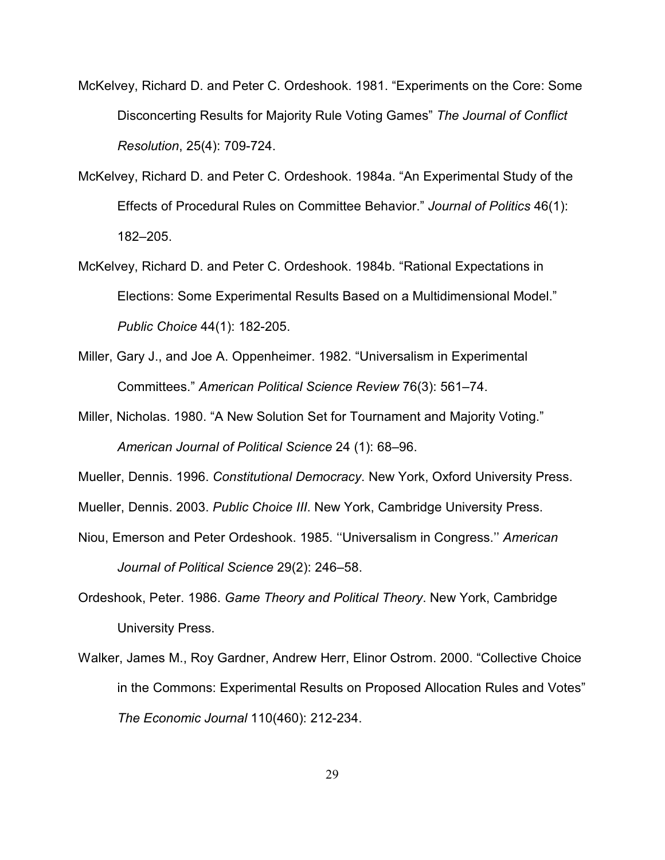- McKelvey, Richard D. and Peter C. Ordeshook. 1981. "Experiments on the Core: Some Disconcerting Results for Majority Rule Voting Games" *The Journal of Conflict Resolution*, 25(4): 709-724.
- McKelvey, Richard D. and Peter C. Ordeshook. 1984a. "An Experimental Study of the Effects of Procedural Rules on Committee Behavior." *Journal of Politics* 46(1): 182–205.
- McKelvey, Richard D. and Peter C. Ordeshook. 1984b. "Rational Expectations in Elections: Some Experimental Results Based on a Multidimensional Model." *Public Choice* 44(1): 182-205.
- Miller, Gary J., and Joe A. Oppenheimer. 1982. "Universalism in Experimental Committees." *American Political Science Review* 76(3): 561–74.
- Miller, Nicholas. 1980. "A New Solution Set for Tournament and Majority Voting." *American Journal of Political Science* 24 (1): 68–96.

Mueller, Dennis. 1996. *Constitutional Democracy*. New York, Oxford University Press.

Mueller, Dennis. 2003. *Public Choice III*. New York, Cambridge University Press.

- Niou, Emerson and Peter Ordeshook. 1985. ''Universalism in Congress.'' *American Journal of Political Science* 29(2): 246–58.
- Ordeshook, Peter. 1986. *Game Theory and Political Theory*. New York, Cambridge University Press.
- Walker, James M., Roy Gardner, Andrew Herr, Elinor Ostrom. 2000. "Collective Choice in the Commons: Experimental Results on Proposed Allocation Rules and Votes" *The Economic Journal* 110(460): 212-234.